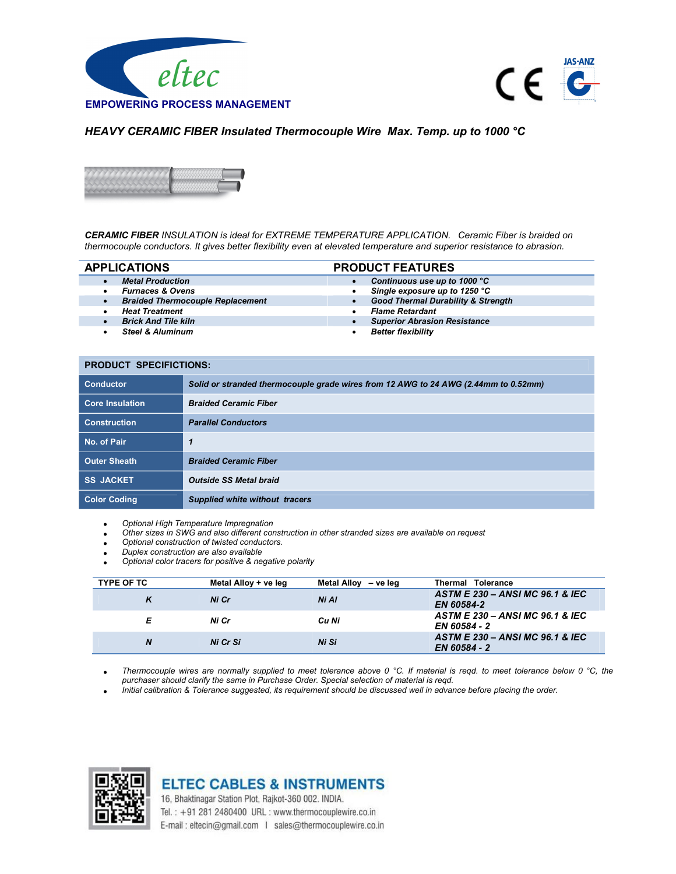



## HEAVY CERAMIC FIBER Insulated Thermocouple Wire Max. Temp. up to 1000 °C



CERAMIC FIBER INSULATION is ideal for EXTREME TEMPERATURE APPLICATION. Ceramic Fiber is braided on thermocouple conductors. It gives better flexibility even at elevated temperature and superior resistance to abrasion.

- 
- 
- Braided Thermocouple Replacement **Good Thermal Durability & Strengtherman**
- 
- 
- 
- APPLICATIONS PRODUCT FEATURES
	- Metal Production Continuous use up to 1000 °C
		- Furnaces & Ovens<br>
		Braided Thermocouple Replacement<br>
		Braided Thermocouple Replacement<br>
		Support the Strength of Good Thermal Durability & Strength
			-
		- Heat Treatment **Flame Retardant**<br>Brick And Tile kiln
			- **Superior Abrasion Resistance**
		- Steel & Aluminum and Better flexibility

## PRODUCT SPECIFICTIONS:

| <b>Conductor</b>       | Solid or stranded thermocouple grade wires from 12 AWG to 24 AWG (2.44mm to 0.52mm) |
|------------------------|-------------------------------------------------------------------------------------|
| <b>Core Insulation</b> | <b>Braided Ceramic Fiber</b>                                                        |
| <b>Construction</b>    | <b>Parallel Conductors</b>                                                          |
| No. of Pair            | 1                                                                                   |
| <b>Outer Sheath</b>    | <b>Braided Ceramic Fiber</b>                                                        |
| <b>SS JACKET</b>       | <b>Outside SS Metal braid</b>                                                       |
| <b>Color Coding</b>    | <b>Supplied white without tracers</b>                                               |

Optional High Temperature Impregnation

Other sizes in SWG and also different construction in other stranded sizes are available on request

- Optional construction of twisted conductors.
- Duplex construction are also available
- Optional color tracers for positive & negative polarity

| <b>TYPE OF TC</b> | Metal Alloy + ve leg | Metal Alloy<br>– ve lea | <b>Tolerance</b><br>Thermal                     |
|-------------------|----------------------|-------------------------|-------------------------------------------------|
| ĸ                 | Ni Cr                | Ni Al                   | ASTM E 230 - ANSI MC 96.1 & IEC<br>EN 60584-2   |
| Е                 | Ni Cr                | Cu Ni                   | ASTM E 230 - ANSI MC 96.1 & IEC<br>EN 60584 - 2 |
| N                 | Ni Cr Si             | Ni Si                   | ASTM E 230 - ANSI MC 96.1 & IEC<br>EN 60584 - 2 |

Thermocouple wires are normally supplied to meet tolerance above 0 °C. If material is reqd. to meet tolerance below 0 °C, the purchaser should clarify the same in Purchase Order. Special selection of material is reqd.

Initial calibration & Tolerance suggested, its requirement should be discussed well in advance before placing the order.



**ELTEC CABLES & INSTRUMENTS** 16, Bhaktinagar Station Plot, Rajkot-360 002. INDIA.

Tel.: +91 281 2480400 URL: www.thermocouplewire.co.in E-mail: eltecin@gmail.com | sales@thermocouplewire.co.in